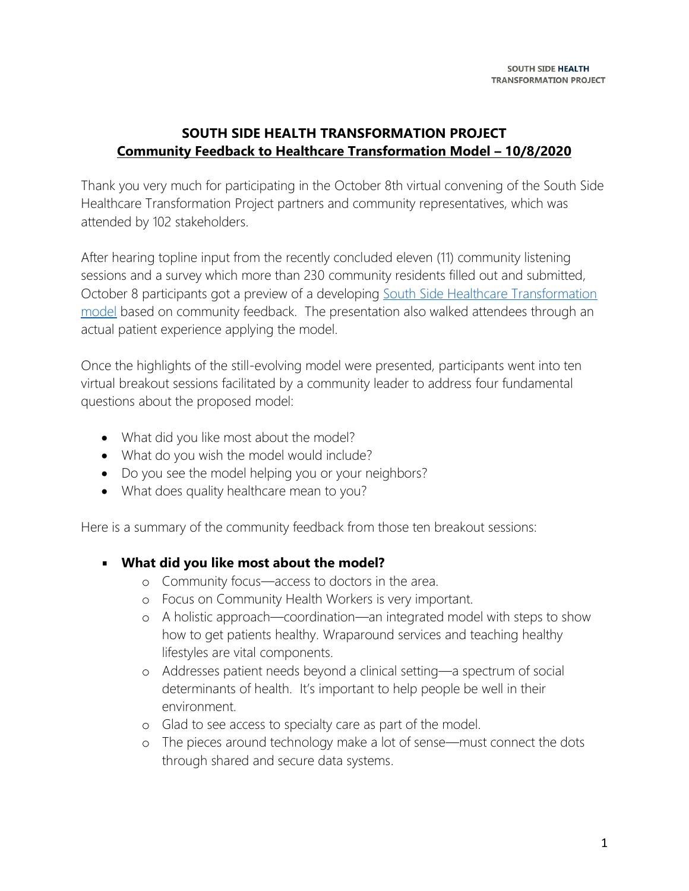# **SOUTH SIDE HEALTH TRANSFORMATION PROJECT Community Feedback to Healthcare Transformation Model – 10/8/2020**

Thank you very much for participating in the October 8th virtual convening of the South Side Healthcare Transformation Project partners and community representatives, which was attended by 102 stakeholders.

After hearing topline input from the recently concluded eleven (11) community listening sessions and a survey which more than 230 community residents filled out and submitted, October 8 participants got a preview of a developing [South Side Healthcare Transformation](https://southsidehealthtransformation.com/wp-content/uploads/2020/10/Model-for-Site.pdf)  [model](https://southsidehealthtransformation.com/wp-content/uploads/2020/10/Model-for-Site.pdf) based on community feedback. The presentation also walked attendees through an actual patient experience applying the model.

Once the highlights of the still-evolving model were presented, participants went into ten virtual breakout sessions facilitated by a community leader to address four fundamental questions about the proposed model:

- What did you like most about the model?
- What do you wish the model would include?
- Do you see the model helping you or your neighbors?
- What does quality healthcare mean to you?

Here is a summary of the community feedback from those ten breakout sessions:

#### **What did you like most about the model?**

- o Community focus—access to doctors in the area.
- o Focus on Community Health Workers is very important.
- o A holistic approach—coordination—an integrated model with steps to show how to get patients healthy. Wraparound services and teaching healthy lifestyles are vital components.
- o Addresses patient needs beyond a clinical setting—a spectrum of social determinants of health. It's important to help people be well in their environment.
- o Glad to see access to specialty care as part of the model.
- o The pieces around technology make a lot of sense—must connect the dots through shared and secure data systems.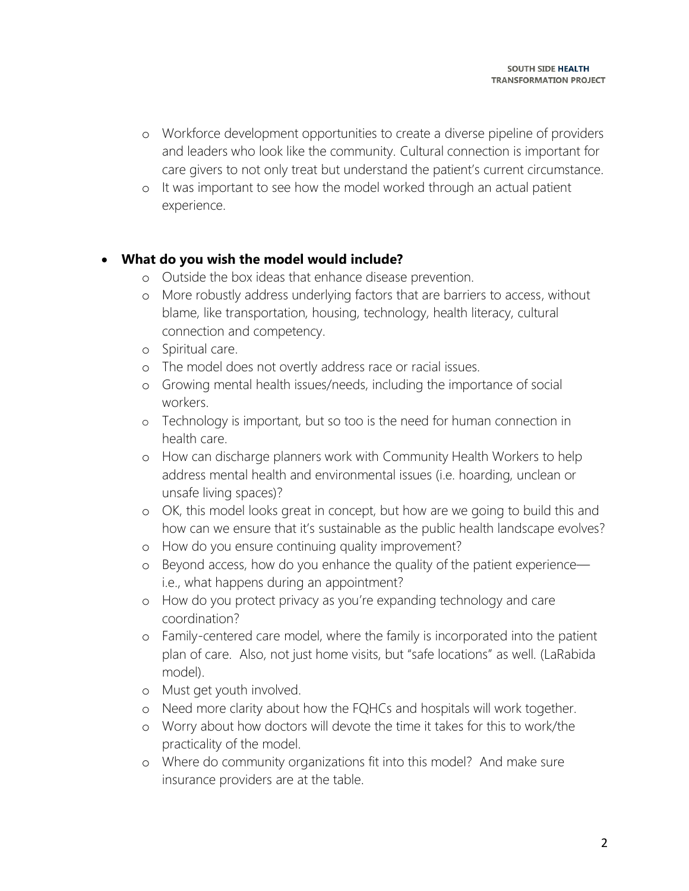- o Workforce development opportunities to create a diverse pipeline of providers and leaders who look like the community. Cultural connection is important for care givers to not only treat but understand the patient's current circumstance.
- o It was important to see how the model worked through an actual patient experience.

# • **What do you wish the model would include?**

- o Outside the box ideas that enhance disease prevention.
- o More robustly address underlying factors that are barriers to access, without blame, like transportation, housing, technology, health literacy, cultural connection and competency.
- o Spiritual care.
- o The model does not overtly address race or racial issues.
- o Growing mental health issues/needs, including the importance of social workers.
- o Technology is important, but so too is the need for human connection in health care.
- o How can discharge planners work with Community Health Workers to help address mental health and environmental issues (i.e. hoarding, unclean or unsafe living spaces)?
- o OK, this model looks great in concept, but how are we going to build this and how can we ensure that it's sustainable as the public health landscape evolves?
- o How do you ensure continuing quality improvement?
- o Beyond access, how do you enhance the quality of the patient experience i.e., what happens during an appointment?
- o How do you protect privacy as you're expanding technology and care coordination?
- o Family-centered care model, where the family is incorporated into the patient plan of care. Also, not just home visits, but "safe locations" as well. (LaRabida model).
- o Must get youth involved.
- o Need more clarity about how the FQHCs and hospitals will work together.
- o Worry about how doctors will devote the time it takes for this to work/the practicality of the model.
- o Where do community organizations fit into this model? And make sure insurance providers are at the table.